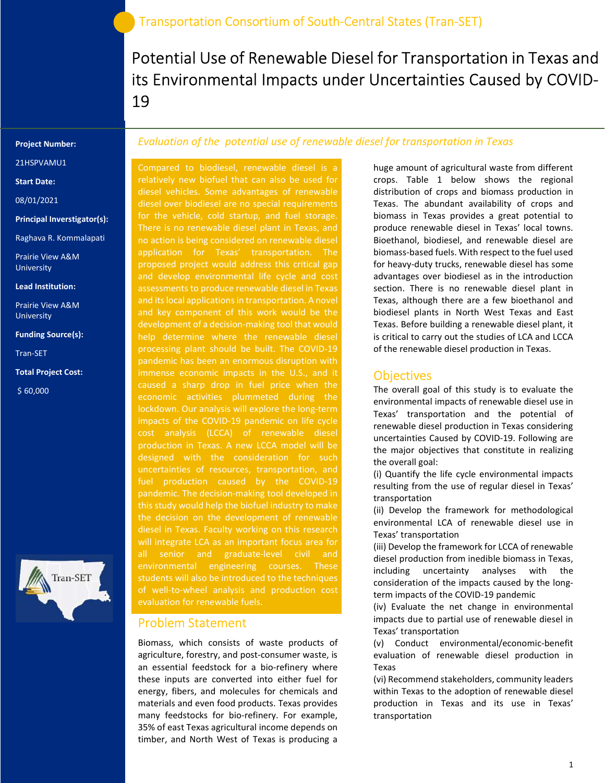Potential Use of Renewable Diesel for Transportation in Texas and its Environmental Impacts under Uncertainties Caused by COVID-19

Project Number:

21HSPVAMU1

Start Date:

08/01/2021

Principal Inverstigator(s):

Raghava R. Kommalapati

Prairie View A&M University

Lead Institution:

Prairie View A&M University

Funding Source(s):

Tran-SET

Total Project Cost:

\$ 60,000



## Evaluation of the potential use of renewable diesel for transportation in Texas

Compared to biodiesel, renewable diesel is a relatively new biofuel that can also be used for diesel vehicles. Some advantages of renewable diesel over biodiesel are no special requirements for the vehicle, cold startup, and fuel storage. no action is being considered on renewable diesel application for Texas' transportation. The proposed project would address this critical gap and develop environmental life cycle and cost and its local applications in transportation. A novel and key component of this work would be the development of a decision-making tool that would help determine where the renewable diesel pandemic has been an enormous disruption with immense economic impacts in the U.S., and it economic activities plummeted during the lockdown. Our analysis will explore the long-term production in Texas. A new LCCA model will be designed with the consideration for such uncertainties of resources, transportation, and fuel production caused by the COVID-19 pandemic. The decision-making tool developed in diesel in Texas. Faculty working on this research will integrate LCA as an important focus area for all senior and graduate-level civil and environmental engineering courses. These students will also be introduced to the techniques

### Problem Statement

Biomass, which consists of waste products of agriculture, forestry, and post-consumer waste, is an essential feedstock for a bio-refinery where these inputs are converted into either fuel for energy, fibers, and molecules for chemicals and materials and even food products. Texas provides many feedstocks for bio-refinery. For example, 35% of east Texas agricultural income depends on timber, and North West of Texas is producing a

huge amount of agricultural waste from different crops. Table 1 below shows the regional distribution of crops and biomass production in Texas. The abundant availability of crops and biomass in Texas provides a great potential to produce renewable diesel in Texas' local towns. Bioethanol, biodiesel, and renewable diesel are biomass-based fuels. With respect to the fuel used for heavy-duty trucks, renewable diesel has some advantages over biodiesel as in the introduction section. There is no renewable diesel plant in Texas, although there are a few bioethanol and biodiesel plants in North West Texas and East Texas. Before building a renewable diesel plant, it is critical to carry out the studies of LCA and LCCA of the renewable diesel production in Texas.

#### **Objectives**

The overall goal of this study is to evaluate the environmental impacts of renewable diesel use in Texas' transportation and the potential of renewable diesel production in Texas considering uncertainties Caused by COVID-19. Following are the major objectives that constitute in realizing the overall goal:

(i) Quantify the life cycle environmental impacts resulting from the use of regular diesel in Texas' transportation

(ii) Develop the framework for methodological environmental LCA of renewable diesel use in Texas' transportation

(iii) Develop the framework for LCCA of renewable diesel production from inedible biomass in Texas, including uncertainty analyses with the consideration of the impacts caused by the longterm impacts of the COVID-19 pandemic

(iv) Evaluate the net change in environmental impacts due to partial use of renewable diesel in Texas' transportation

(v) Conduct environmental/economic-benefit evaluation of renewable diesel production in Texas

(vi) Recommend stakeholders, community leaders within Texas to the adoption of renewable diesel production in Texas and its use in Texas' transportation